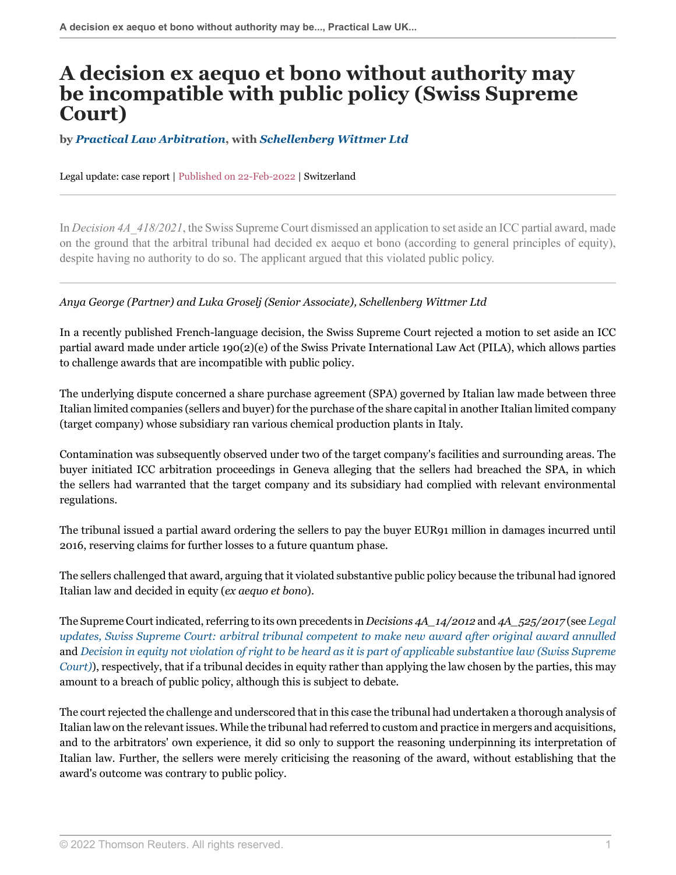## **A decision ex aequo et bono without authority may be incompatible with public policy (Swiss Supreme Court)**

**by** *[Practical Law Arbitration](https://uk.practicallaw.thomsonreuters.com/Browse/Home/About/OurteamArbitration )***, with** *[Schellenberg Wittmer Ltd](https://www.swlegal.ch/ )*

Legal update: case report | Published on 22-Feb-2022 | Switzerland

In *Decision 4A\_418/2021*, the Swiss Supreme Court dismissed an application to set aside an ICC partial award, made on the ground that the arbitral tribunal had decided ex aequo et bono (according to general principles of equity), despite having no authority to do so. The applicant argued that this violated public policy.

## *Anya George (Partner) and Luka Groselj (Senior Associate), Schellenberg Wittmer Ltd*

In a recently published French-language decision, the Swiss Supreme Court rejected a motion to set aside an ICC partial award made under article 190(2)(e) of the Swiss Private International Law Act (PILA), which allows parties to challenge awards that are incompatible with public policy.

The underlying dispute concerned a share purchase agreement (SPA) governed by Italian law made between three Italian limited companies (sellers and buyer) for the purchase of the share capital in another Italian limited company (target company) whose subsidiary ran various chemical production plants in Italy.

Contamination was subsequently observed under two of the target company's facilities and surrounding areas. The buyer initiated ICC arbitration proceedings in Geneva alleging that the sellers had breached the SPA, in which the sellers had warranted that the target company and its subsidiary had complied with relevant environmental regulations.

The tribunal issued a partial award ordering the sellers to pay the buyer EUR91 million in damages incurred until 2016, reserving claims for further losses to a future quantum phase.

The sellers challenged that award, arguing that it violated substantive public policy because the tribunal had ignored Italian law and decided in equity (*ex aequo et bono*).

The Supreme Court indicated, referring to its own precedents in *Decisions 4A\_14/2012* and *4A\_525/2017* (see *[Legal](http://uk.practicallaw.thomsonreuters.com/1-520-2196?originationContext=document&vr=3.0&rs=PLUK1.0&transitionType=DocumentItem&contextData=(sc.Default)) [updates, Swiss Supreme Court: arbitral tribunal competent to make new award after original award annulled](http://uk.practicallaw.thomsonreuters.com/1-520-2196?originationContext=document&vr=3.0&rs=PLUK1.0&transitionType=DocumentItem&contextData=(sc.Default))* and *[Decision in equity not violation of right to be heard as it is part of applicable substantive law \(Swiss Supreme](https://uk.practicallaw.thomsonreuters.com/w-016-7836 ) [Court\)](https://uk.practicallaw.thomsonreuters.com/w-016-7836 )*), respectively, that if a tribunal decides in equity rather than applying the law chosen by the parties, this may amount to a breach of public policy, although this is subject to debate.

The court rejected the challenge and underscored that in this case the tribunal had undertaken a thorough analysis of Italian law on the relevant issues. While the tribunal had referred to custom and practice in mergers and acquisitions, and to the arbitrators' own experience, it did so only to support the reasoning underpinning its interpretation of Italian law. Further, the sellers were merely criticising the reasoning of the award, without establishing that the award's outcome was contrary to public policy.